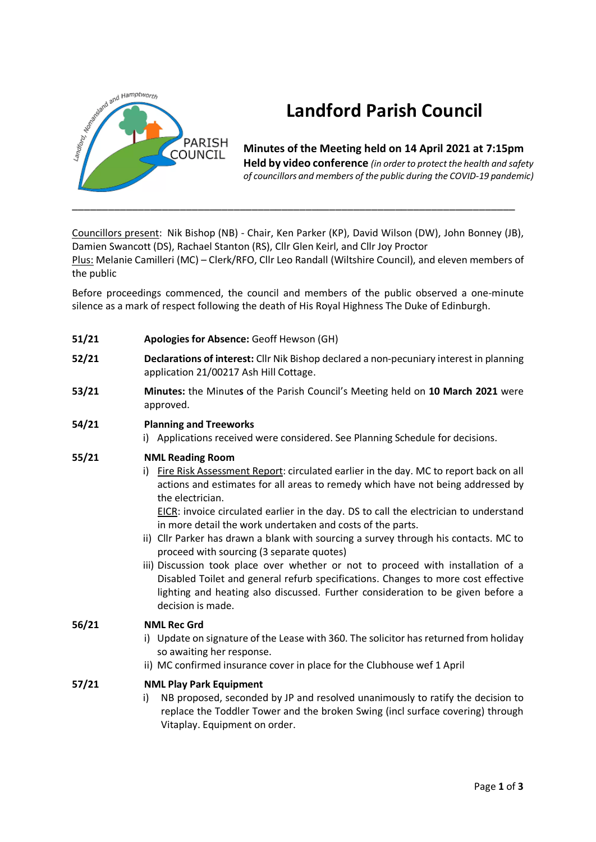

# **Landford Parish Council**

**Minutes of the Meeting held on 14 April 2021 at 7:15pm Held by video conference** *(in order to protect the health and safety of councillors and members of the public during the COVID-19 pandemic)* 

Councillors present: Nik Bishop (NB) - Chair, Ken Parker (KP), David Wilson (DW), John Bonney (JB), Damien Swancott (DS), Rachael Stanton (RS), Cllr Glen Keirl, and Cllr Joy Proctor Plus: Melanie Camilleri (MC) – Clerk/RFO, Cllr Leo Randall (Wiltshire Council), and eleven members of the public

\_\_\_\_\_\_\_\_\_\_\_\_\_\_\_\_\_\_\_\_\_\_\_\_\_\_\_\_\_\_\_\_\_\_\_\_\_\_\_\_\_\_\_\_\_\_\_\_\_\_\_\_\_\_\_\_\_\_\_\_\_\_\_\_\_\_\_\_\_\_\_\_\_\_

Before proceedings commenced, the council and members of the public observed a one-minute silence as a mark of respect following the death of His Royal Highness The Duke of Edinburgh.

- **51/21 Apologies for Absence:** Geoff Hewson (GH)
- **52/21 Declarations of interest:** Cllr Nik Bishop declared a non-pecuniary interest in planning application 21/00217 Ash Hill Cottage.
- **53/21 Minutes:** the Minute**s** of the Parish Council's Meeting held on **10 March 2021** were approved.

#### **54/21 Planning and Treeworks**

- i) Applications received were considered. See Planning Schedule for decisions.
- **55/21 NML Reading Room**
	- i) Fire Risk Assessment Report: circulated earlier in the day. MC to report back on all actions and estimates for all areas to remedy which have not being addressed by the electrician.

EICR: invoice circulated earlier in the day. DS to call the electrician to understand in more detail the work undertaken and costs of the parts.

- ii) Cllr Parker has drawn a blank with sourcing a survey through his contacts. MC to proceed with sourcing (3 separate quotes)
- iii) Discussion took place over whether or not to proceed with installation of a Disabled Toilet and general refurb specifications. Changes to more cost effective lighting and heating also discussed. Further consideration to be given before a decision is made.

#### **56/21 NML Rec Grd**

- i) Update on signature of the Lease with 360. The solicitor has returned from holiday so awaiting her response.
- ii) MC confirmed insurance cover in place for the Clubhouse wef 1 April

#### **57/21 NML Play Park Equipment**

i) NB proposed, seconded by JP and resolved unanimously to ratify the decision to replace the Toddler Tower and the broken Swing (incl surface covering) through Vitaplay. Equipment on order.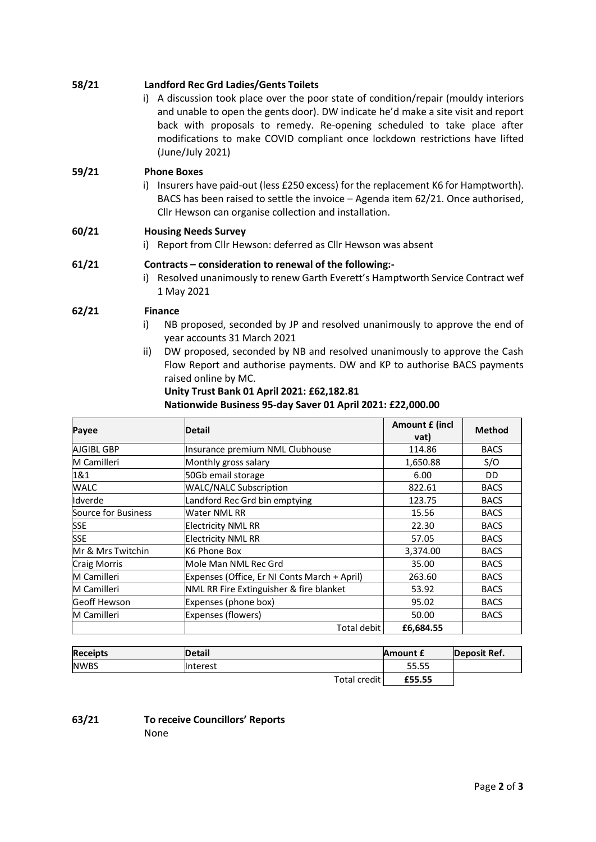**58/21 Landford Rec Grd Ladies/Gents Toilets** i) A discussion took place over the poor state of condition/repair (mouldy interiors and unable to open the gents door). DW indicate he'd make a site visit and report back with proposals to remedy. Re-opening scheduled to take place after modifications to make COVID compliant once lockdown restrictions have lifted (June/July 2021) **59/21 Phone Boxes** i) Insurers have paid-out (less £250 excess) for the replacement K6 for Hamptworth). BACS has been raised to settle the invoice – Agenda item 62/21. Once authorised, Cllr Hewson can organise collection and installation. **60/21 Housing Needs Survey**  i) Report from Cllr Hewson: deferred as Cllr Hewson was absent **61/21 Contracts – consideration to renewal of the following:** i) Resolved unanimously to renew Garth Everett's Hamptworth Service Contract wef 1 May 2021 **62/21 Finance**  i) NB proposed, seconded by JP and resolved unanimously to approve the end of year accounts 31 March 2021 ii) DW proposed, seconded by NB and resolved unanimously to approve the Cash Flow Report and authorise payments. DW and KP to authorise BACS payments raised online by MC. **Unity Trust Bank 01 April 2021: £62,182.81 Nationwide Business 95-day Saver 01 April 2021: £22,000.00**

| Payee               | <b>Detail</b>                                | Amount £ (incl<br>vat) | <b>Method</b> |
|---------------------|----------------------------------------------|------------------------|---------------|
| AJGIBL GBP          | Insurance premium NML Clubhouse              | 114.86                 | <b>BACS</b>   |
| M Camilleri         | Monthly gross salary                         | 1,650.88               | S/O           |
| 1&1                 | 50Gb email storage                           | 6.00                   | DD            |
| <b>WALC</b>         | <b>WALC/NALC Subscription</b>                | 822.61                 | <b>BACS</b>   |
| Idverde             | Landford Rec Grd bin emptying                | 123.75                 | <b>BACS</b>   |
| Source for Business | Water NML RR                                 | 15.56                  | <b>BACS</b>   |
| <b>SSE</b>          | <b>Electricity NML RR</b>                    | 22.30                  | <b>BACS</b>   |
| <b>SSE</b>          | <b>Electricity NML RR</b>                    | 57.05                  | <b>BACS</b>   |
| Mr & Mrs Twitchin   | K6 Phone Box                                 | 3,374.00               | <b>BACS</b>   |
| <b>Craig Morris</b> | Mole Man NML Rec Grd                         | 35.00                  | <b>BACS</b>   |
| M Camilleri         | Expenses (Office, Er NI Conts March + April) | 263.60                 | <b>BACS</b>   |
| M Camilleri         | NML RR Fire Extinguisher & fire blanket      | 53.92                  | <b>BACS</b>   |
| Geoff Hewson        | Expenses (phone box)                         | 95.02                  | <b>BACS</b>   |
| M Camilleri         | Expenses (flowers)                           | 50.00                  | <b>BACS</b>   |
|                     | Total debit                                  | £6,684.55              |               |

| <b>Receipts</b> | <b>Detail</b> | Amount £ | <b>Deposit Ref.</b> |
|-----------------|---------------|----------|---------------------|
| <b>NWBS</b>     | Interest      | 55.55    |                     |
|                 | Total credit  | £55.55   |                     |

#### **63/21 To receive Councillors' Reports** None